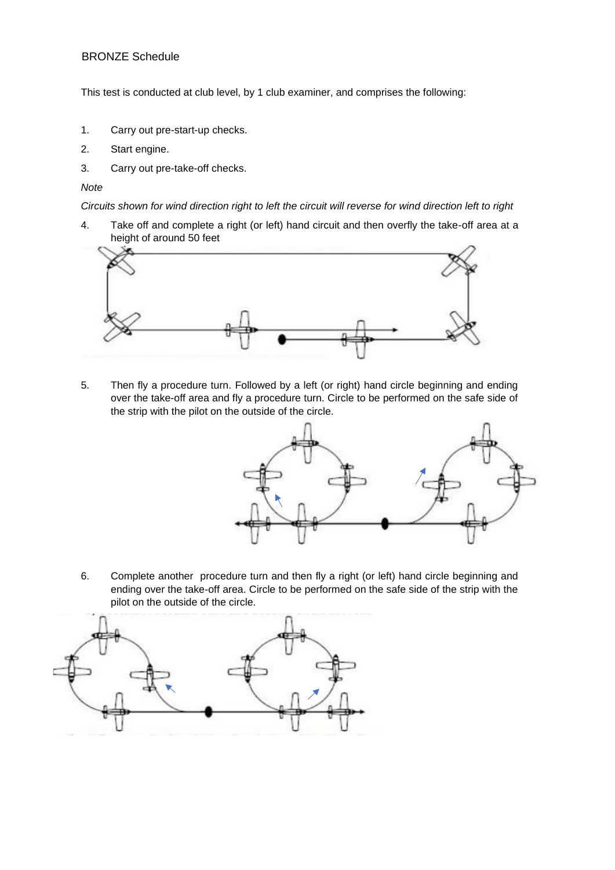## BRONZE Schedule

This test is conducted at club level, by 1 club examiner, and comprises the following:

- 1. Carry out pre-start-up checks.
- 2. Start engine.
- 3. Carry out pre-take-off checks.

## *Note*

*Circuits shown for wind direction right to left the circuit will reverse for wind direction left to right* 

4. Take off and complete a right (or left) hand circuit and then overfly the take-off area at a height of around 50 feet



5. Then fly a procedure turn. Followed by a left (or right) hand circle beginning and ending over the take-off area and fly a procedure turn. Circle to be performed on the safe side of the strip with the pilot on the outside of the circle.



6. Complete another procedure turn and then fly a right (or left) hand circle beginning and ending over the take-off area. Circle to be performed on the safe side of the strip with the pilot on the outside of the circle.